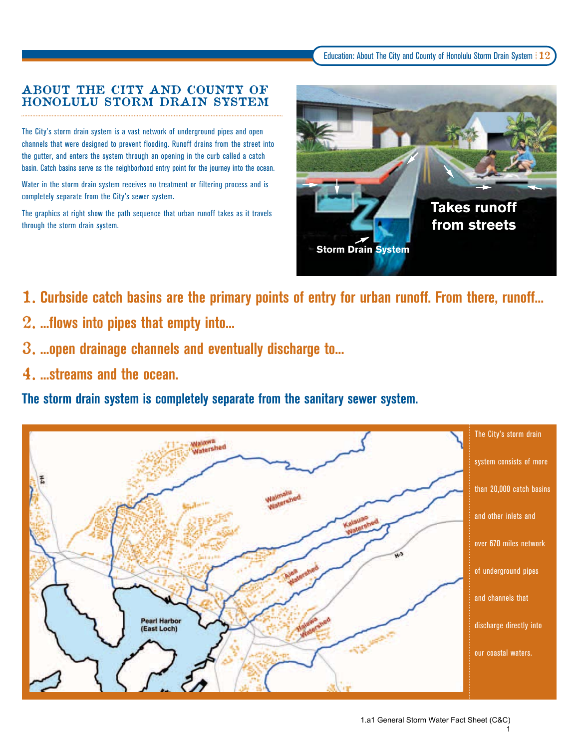## ABOUT THE CITY AND COUNTY OF HONOLULU STORM DRAIN SYSTEM

The City's storm drain system is a vast network of underground pipes and open channels that were designed to prevent flooding. Runoff drains from the street into the gutter, and enters the system through an opening in the curb called a catch basin. Catch basins serve as the neighborhood entry point for the journey into the ocean.

Water in the storm drain system receives no treatment or filtering process and is completely separate from the City's sewer system.

The graphics at right show the path sequence that urban runoff takes as it travels through the storm drain system.



- 1. **Curbside catch basins are the primary points of entry for urban runoff. From there, runoff...**
- 2. **...flows into pipes that empty into...**
- 3. **...open drainage channels and eventually discharge to...**
- 4. **...streams and the ocean.**

**The storm drain system is completely separate from the sanitary sewer system.**